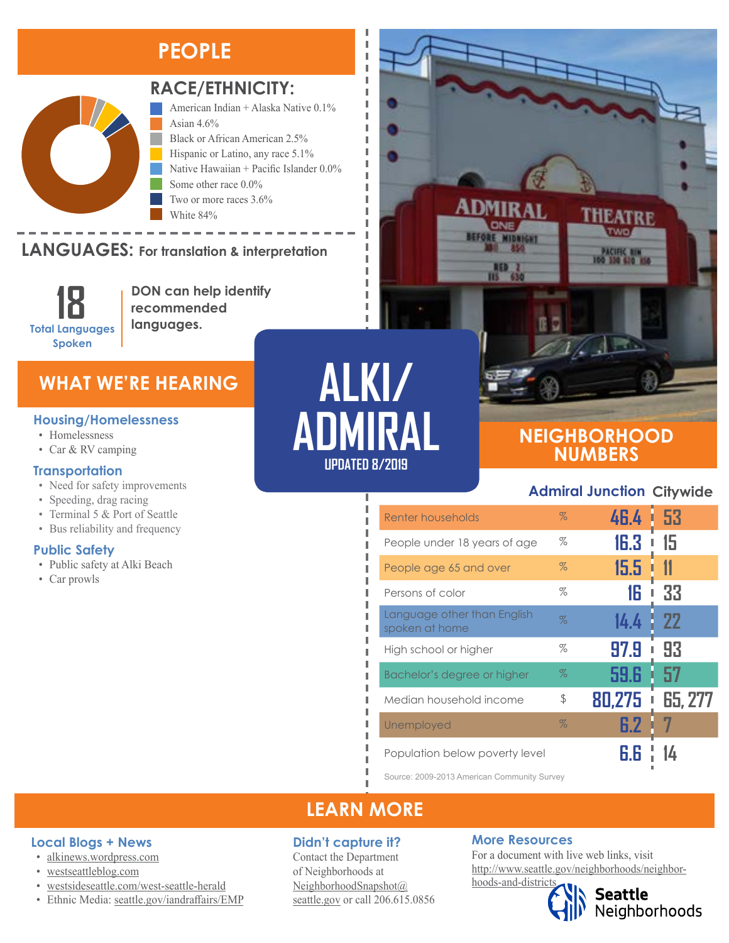## **PEOPLE**



#### **RACE/ETHNICITY:**

Two or more races 3.6%

American Indian + Alaska Native 0.1% Asian  $4.6\%$ Black or African American 2.5% Hispanic or Latino, any race 5.1% Native Hawaiian + Pacific Islander 0.0% Some other race 0.0%

**LANGUAGES: For translation & interpretation** Black or African American Hispanic or Latino, any race  $\sim$   $\sim$   $\sim$   $\sim$   $\sim$   $\sim$   $\sim$   $\sim$ 

> **18 Total Languages Spoken**

**DON can help identify recommended languages.**

White 84%

### **WHAT WE'RE HEARING**

#### **Housing/Homelessness**

- Homelessness
- Car & RV camping

#### **Transportation**

- Need for safety improvements
- Speeding, drag racing
- Terminal 5 & Port of Seattle
- Bus reliability and frequency

#### **Public Safety**

• Public safety at Alki Beach

**Local Blogs + News** • [alkinews.wordpress.com](https://alkinews.wordpress.com/) • [westseattleblog.com](http://westseattleblog.com/)

• [westsideseattle.com](https://www.westsideseattle.com/west-seattle-herald)/west-seattle-herald • Ethnic Media: [seattle.gov/iandraffairs/EMP](http://www.seattle.gov/iandraffairs/EMP)

• Car prowls

**ALKI/ ADMIRAL UPDATED 8/2019**

I Ī л I

п л Ï I л Л л

I I

п

f,

I I I

### **NEIGHBORHOOD NUMBERS**

#### **Admiral Junction Citywide**

**THEATRE** 

TWO.

PACIFIC RIN<br>100 110 610 150

| Renter households                             | $\%$ | 46.4      | L 53           |
|-----------------------------------------------|------|-----------|----------------|
| People under 18 years of age                  | %    | 16.3      | 15             |
| People age 65 and over                        | $\%$ | 15.5      |                |
| Persons of color                              | %    | 16        | 33             |
| Language other than English<br>spoken at home | $\%$ | 14.4      | -22            |
| High school or higher                         | %    | 97.9<br>I | 93             |
| Bachelor's degree or higher                   | $\%$ | 59.6      | 57             |
| Median household income                       | \$   | 80,275    | <b>65, 277</b> |
| Unemployed                                    | $\%$ | 6.2       |                |
| Population below poverty level                |      |           |                |

 $RED$   $2$ <br> $115$   $63$ 

Source: 2009-2013 American Community Survey

## **LEARN MORE**

#### **Didn't capture it?**

Contact the Department of Neighborhoods at [NeighborhoodSnapshot@](mailto:NeighborhoodSnapshot%40%0Aseattle.gov?subject=) [seattle.gov](mailto:NeighborhoodSnapshot%40%0Aseattle.gov?subject=) or call 206.615.0856

#### **More Resources**

For a document with live web links, visit [http://www.seattle.gov/neighborhoods/neighbor-](http://www.seattle.gov/neighborhoods/neighborhoods-and-districts)

# [hoods-and-districts](http://www.seattle.gov/neighborhoods/neighborhoods-and-districts)

**Seattle**<br>Neighborhoods